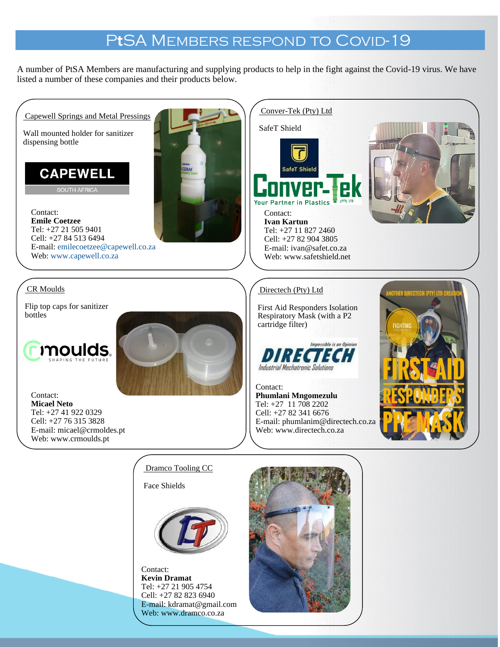## PtSA MEMBERS RESPOND TO COVID-19

A number of PtSA Members are manufacturing and supplying products to help in the fight against the Covid-19 virus. We have listed a number of these companies and their products below.



Contact: **Kevin Dramat** Tel: +27 21 905 4754 Cell: +27 82 823 6940 E-mail[: kdramat@gmail.com](mailto:kdramat@gmail.com) Web: [www.dramco.co.za](http://www.dramco.co.za/)